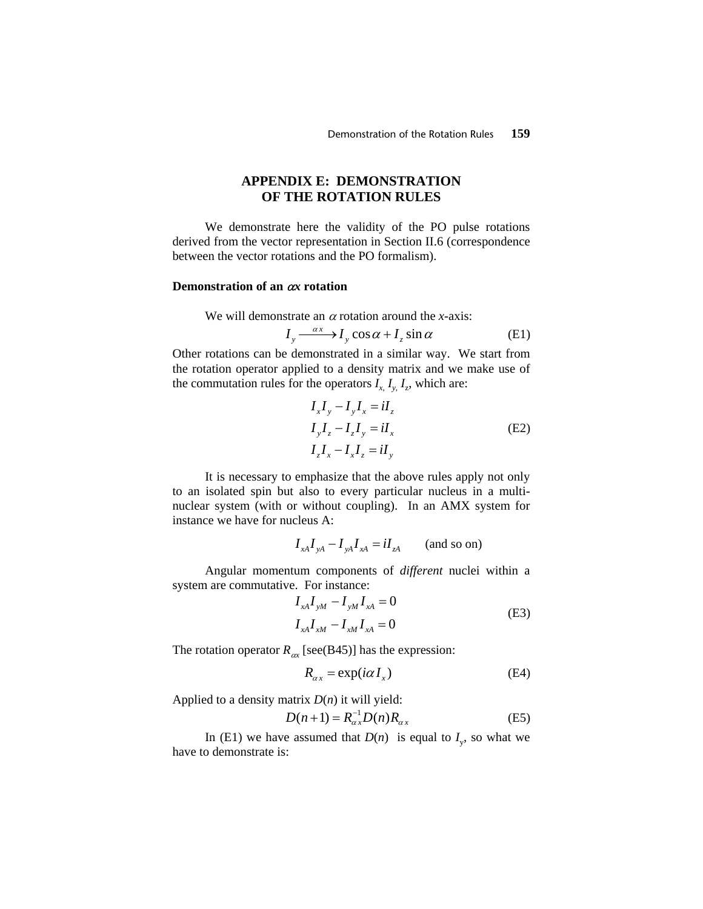## **APPENDIX E: DEMONSTRATION OF THE ROTATION RULES**

We demonstrate here the validity of the PO pulse rotations derived from the vector representation in Section II.6 (correspondence between the vector rotations and the PO formalism).

## **Demonstration of an** α*x* **rotation**

We will demonstrate an  $\alpha$  rotation around the *x*-axis:

$$
I_{y} \xrightarrow{\alpha x} I_{y} \cos \alpha + I_{z} \sin \alpha
$$
 (E1)

Other rotations can be demonstrated in a similar way. We start from the rotation operator applied to a density matrix and we make use of the commutation rules for the operators  $I_{x_i} I_{y_i} I_{z_j}$ , which are:

$$
I_x I_y - I_y I_x = iI_z
$$
  
\n
$$
I_y I_z - I_z I_y = iI_x
$$
  
\n
$$
I_z I_x - I_x I_z = iI_y
$$
 (E2)

It is necessary to emphasize that the above rules apply not only to an isolated spin but also to every particular nucleus in a multinuclear system (with or without coupling). In an AMX system for instance we have for nucleus A:

$$
I_{xA}I_{yA} - I_{yA}I_{xA} = iI_{zA}
$$
 (and so on)

Angular momentum components of *different* nuclei within a system are commutative. For instance:

$$
I_{xA}I_{yM} - I_{yM}I_{xA} = 0
$$
  
\n
$$
I_{xA}I_{xM} - I_{xM}I_{xA} = 0
$$
 (E3)

The rotation operator  $R_{\alpha x}$  [see(B45)] has the expression:

$$
R_{\alpha x} = \exp(i\alpha I_x) \tag{E4}
$$

Applied to a density matrix *D*(*n*) it will yield:

$$
D(n+1) = R_{\alpha x}^{-1} D(n) R_{\alpha x}
$$
 (E5)

In (E1) we have assumed that  $D(n)$  is equal to  $I_{\gamma}$ , so what we have to demonstrate is: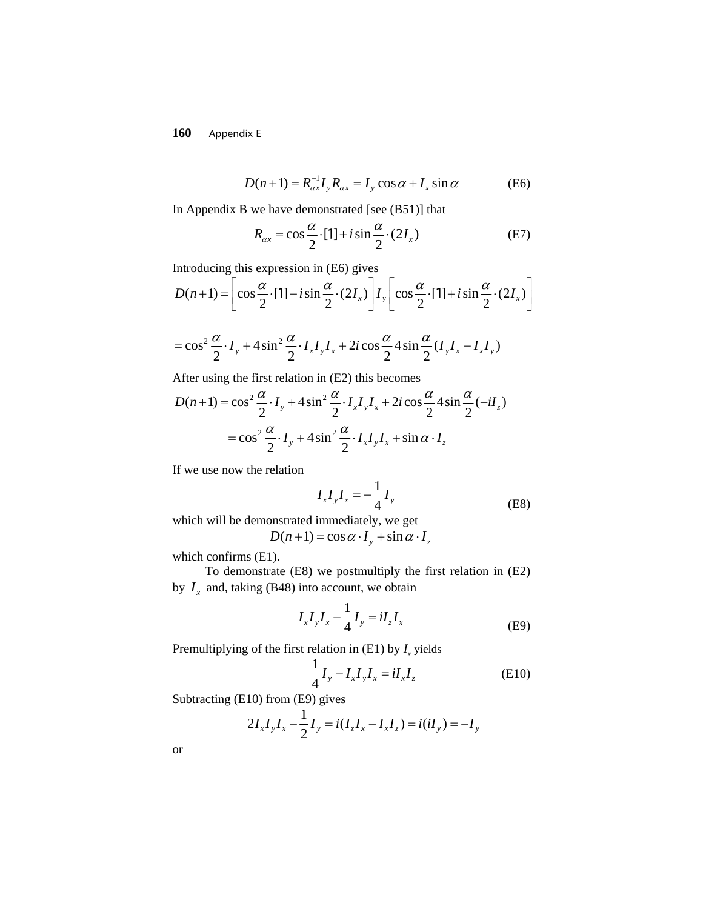**160** Appendix E

$$
D(n+1) = R_{\alpha x}^{-1} I_y R_{\alpha x} = I_y \cos \alpha + I_x \sin \alpha
$$
 (E6)

In Appendix B we have demonstrated [see (B51)] that

$$
R_{\alpha x} = \cos\frac{\alpha}{2} \cdot [1] + i\sin\frac{\alpha}{2} \cdot (2I_x)
$$
 (E7)

Introducing this expression in (E6) gives

$$
D(n+1) = \left[\cos\frac{\alpha}{2} \cdot [1] - i\sin\frac{\alpha}{2} \cdot (2I_x)\right] I_y \left[\cos\frac{\alpha}{2} \cdot [1] + i\sin\frac{\alpha}{2} \cdot (2I_x)\right]
$$

$$
= \cos^2 \frac{\alpha}{2} \cdot I_y + 4 \sin^2 \frac{\alpha}{2} \cdot I_x I_y I_x + 2i \cos \frac{\alpha}{2} 4 \sin \frac{\alpha}{2} (I_y I_x - I_x I_y)
$$

After using the first relation in (E2) this becomes

$$
D(n+1) = \cos^2 \frac{\alpha}{2} \cdot I_y + 4\sin^2 \frac{\alpha}{2} \cdot I_x I_y I_x + 2i\cos \frac{\alpha}{2} 4\sin \frac{\alpha}{2} (-iI_z)
$$
  
=  $\cos^2 \frac{\alpha}{2} \cdot I_y + 4\sin^2 \frac{\alpha}{2} \cdot I_x I_y I_x + \sin \alpha \cdot I_z$ 

If we use now the relation

$$
I_x I_y I_x = -\frac{1}{4} I_y
$$
 (E8)

which will be demonstrated immediately, we get

 $D(n+1) = \cos \alpha \cdot I_y + \sin \alpha \cdot I_z$ 

which confirms (E1).

To demonstrate (E8) we postmultiply the first relation in (E2) by  $I_x$  and, taking (B48) into account, we obtain

$$
I_x I_y I_x - \frac{1}{4} I_y = iI_z I_x
$$
 (E9)

Premultiplying of the first relation in  $(E1)$  by  $I_x$  yields

$$
\frac{1}{4}I_{y} - I_{x}I_{y}I_{x} = iI_{x}I_{z}
$$
 (E10)

Subtracting (E10) from (E9) gives

$$
2I_xI_yI_x - \frac{1}{2}I_y = i(I_zI_x - I_xI_z) = i(iI_y) = -I_y
$$

or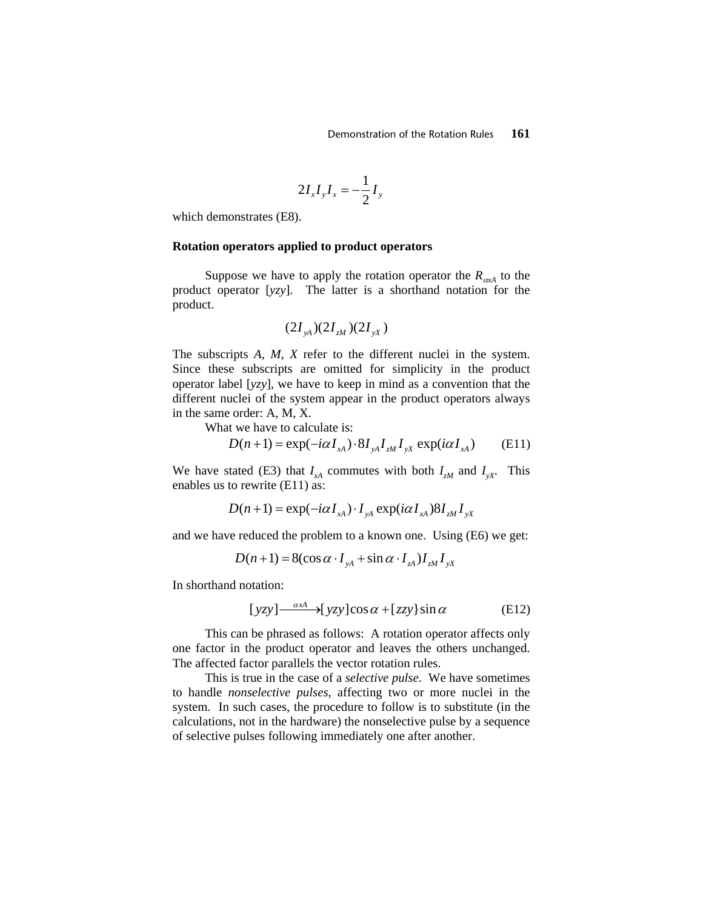$$
2I_xI_yI_x = -\frac{1}{2}I_y
$$

which demonstrates (E8).

## **Rotation operators applied to product operators**

Suppose we have to apply the rotation operator the  $R_{\alpha xA}$  to the product operator [*yzy*]. The latter is a shorthand notation for the product.

$$
(2I_{yA})(2I_{zM})(2I_{yX})
$$

The subscripts *A*, *M*, *X* refer to the different nuclei in the system. Since these subscripts are omitted for simplicity in the product operator label [*yzy*], we have to keep in mind as a convention that the different nuclei of the system appear in the product operators always in the same order: A, M, X.

What we have to calculate is:

$$
D(n+1) = \exp(-i\alpha I_{xA}) \cdot 8I_{yA} I_{zM} I_{yX} \exp(i\alpha I_{xA})
$$
 (E11)

We have stated (E3) that  $I_{xA}$  commutes with both  $I_{zM}$  and  $I_{yX}$ . This enables us to rewrite (E11) as:

$$
D(n+1) = \exp(-i\alpha I_{A}) \cdot I_{A} \exp(i\alpha I_{A}) 8I_{A} I_{Y}
$$

and we have reduced the problem to a known one. Using (E6) we get:

$$
D(n+1) = 8(\cos\alpha \cdot I_{yA} + \sin\alpha \cdot I_{zA})I_{zM}I_{yX}
$$

In shorthand notation:

$$
[yzy] \xrightarrow{\alpha xA} [yzy] \cos \alpha + [zzy] \sin \alpha
$$
 (E12)

This can be phrased as follows: A rotation operator affects only one factor in the product operator and leaves the others unchanged. The affected factor parallels the vector rotation rules.

This is true in the case of a *selective pulse*. We have sometimes to handle *nonselective pulses*, affecting two or more nuclei in the system. In such cases, the procedure to follow is to substitute (in the calculations, not in the hardware) the nonselective pulse by a sequence of selective pulses following immediately one after another.